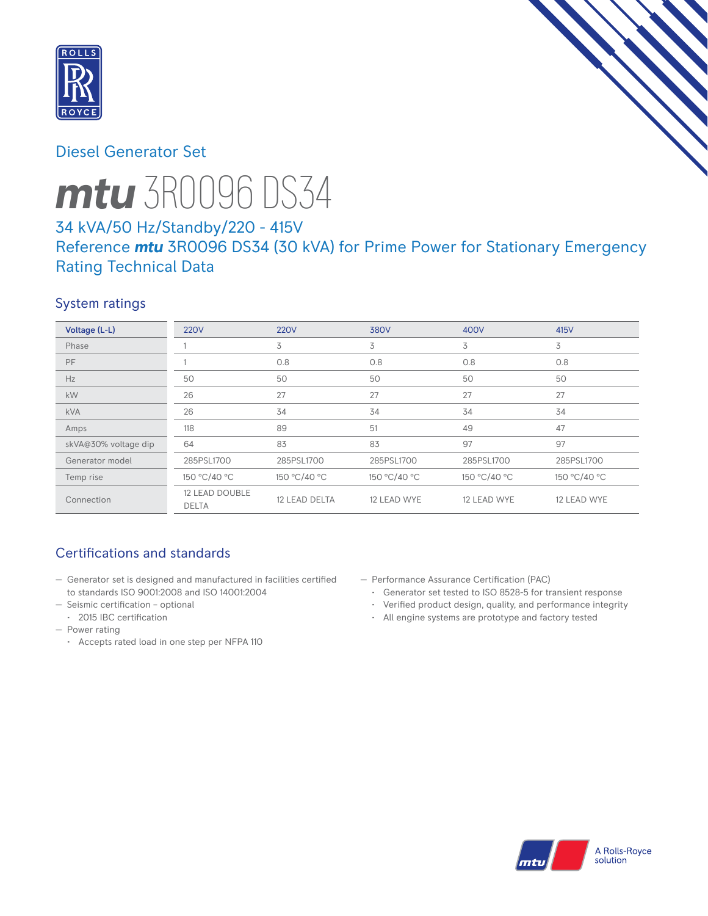

# Diesel Generator Set



# *mtu* 3R0096 DS34

# 34 kVA/50 Hz/Standby/220 - 415V Reference *mtu* 3R0096 DS34 (30 kVA) for Prime Power for Stationary Emergency Rating Technical Data

## System ratings

| Voltage (L-L)        | <b>220V</b>                    | <b>220V</b>   | 380V         | 400V         | 415V         |
|----------------------|--------------------------------|---------------|--------------|--------------|--------------|
| Phase                |                                | 3             | 3            | 3            | 3            |
| <b>PF</b>            |                                | 0.8           | 0.8          | 0.8          | 0.8          |
| Hz                   | 50                             | 50            | 50           | 50           | 50           |
| kW                   | 26                             | 27            | 27           | 27           | 27           |
| <b>kVA</b>           | 26                             | 34            | 34           | 34           | 34           |
| Amps                 | 118                            | 89            | 51           | 49           | 47           |
| skVA@30% voltage dip | 64                             | 83            | 83           | 97           | 97           |
| Generator model      | 285PSL1700                     | 285PSL1700    | 285PSL1700   | 285PSL1700   | 285PSL1700   |
| Temp rise            | 150 °C/40 °C                   | 150 °C/40 °C  | 150 °C/40 °C | 150 °C/40 °C | 150 °C/40 °C |
| Connection           | 12 LEAD DOUBLE<br><b>DELTA</b> | 12 LEAD DELTA | 12 LEAD WYE  | 12 LEAD WYE  | 12 LEAD WYE  |

# Certifications and standards

- Generator set is designed and manufactured in facilities certified to standards ISO 9001:2008 and ISO 14001:2004
- Seismic certification optional
	- 2015 IBC certification
- Power rating
	- Accepts rated load in one step per NFPA 110
- Performance Assurance Certification (PAC)
	- Generator set tested to ISO 8528-5 for transient response
	- Verified product design, quality, and performance integrity
	- All engine systems are prototype and factory tested

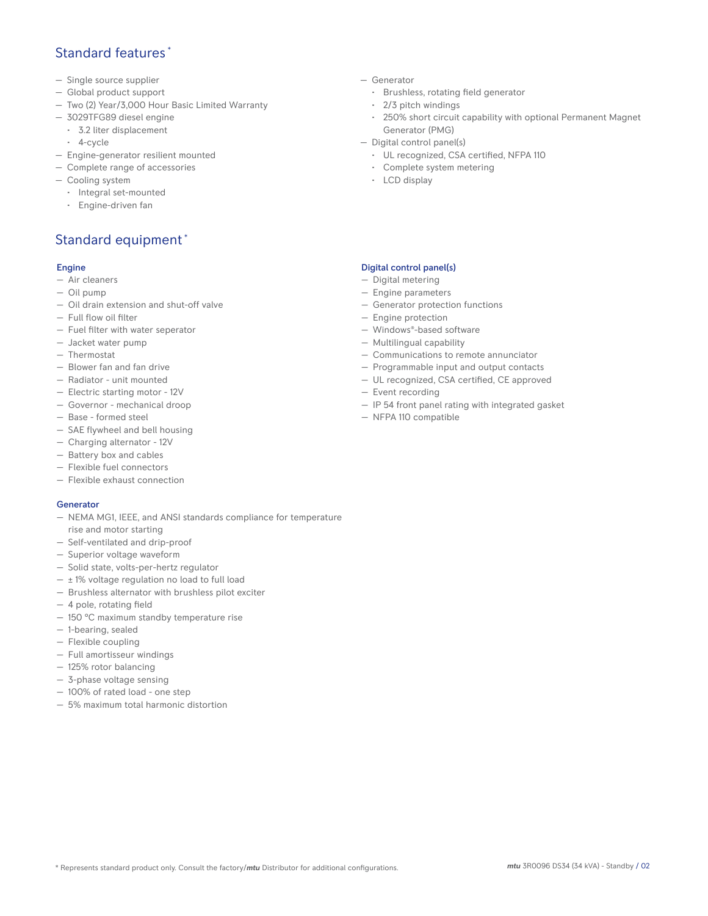## Standard features \*

- Single source supplier
- Global product support
- Two (2) Year/3,000 Hour Basic Limited Warranty
- 3029TFG89 diesel engine
	- 3.2 liter displacement
	- 4-cycle
- Engine-generator resilient mounted
- Complete range of accessories
- Cooling system
	- Integral set-mounted
	- Engine-driven fan

# Standard equipment \*

#### Engine

- Air cleaners
- Oil pump
- Oil drain extension and shut-off valve
- Full flow oil filter
- Fuel filter with water seperator
- Jacket water pump
- Thermostat
- Blower fan and fan drive
- Radiator unit mounted
- Electric starting motor 12V
- Governor mechanical droop
- Base formed steel
- SAE flywheel and bell housing
- Charging alternator 12V
- Battery box and cables
- Flexible fuel connectors
- Flexible exhaust connection

#### Generator

- NEMA MG1, IEEE, and ANSI standards compliance for temperature rise and motor starting
- Self-ventilated and drip-proof
- Superior voltage waveform
- Solid state, volts-per-hertz regulator
- $\pm$  1% voltage regulation no load to full load
- Brushless alternator with brushless pilot exciter
- 4 pole, rotating field
- 150 °C maximum standby temperature rise
- 1-bearing, sealed
- Flexible coupling
- Full amortisseur windings
- 125% rotor balancing
- 3-phase voltage sensing
- 100% of rated load one step
- 5% maximum total harmonic distortion
- Generator
	- Brushless, rotating field generator
	- 2/3 pitch windings
	- 250% short circuit capability with optional Permanent Magnet Generator (PMG)
- Digital control panel(s)
	- UL recognized, CSA certified, NFPA 110
	- Complete system metering
	- LCD display

### Digital control panel(s)

- Digital metering
- Engine parameters
- Generator protection functions
- Engine protection
- Windows®-based software
- Multilingual capability
- Communications to remote annunciator
- Programmable input and output contacts
- UL recognized, CSA certified, CE approved
- Event recording
- IP 54 front panel rating with integrated gasket
- NFPA 110 compatible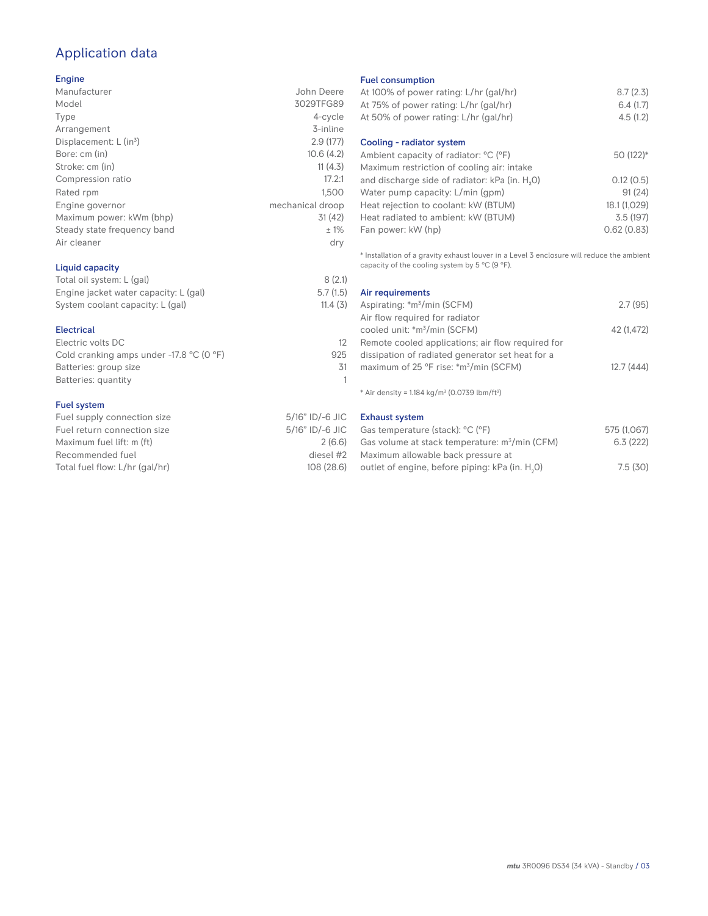# Application data

#### Engine

| Manufacturer                         | John Deere       |
|--------------------------------------|------------------|
| Model                                | 3029TFG89        |
| Type                                 | 4-cycle          |
| Arrangement                          | 3-inline         |
| Displacement: $L$ (in <sup>3</sup> ) | 2.9(177)         |
| Bore: cm (in)                        | 10.6(4.2)        |
| Stroke: cm (in)                      | 11(4.3)          |
| Compression ratio                    | 17.2:1           |
| Rated rpm                            | 1.500            |
| Engine governor                      | mechanical droop |
| Maximum power: kWm (bhp)             | 31(42)           |
| Steady state frequency band          | ±1%              |
| Air cleaner                          | dry              |
|                                      |                  |

## Liquid capacity

| Total oil system: L (gal)             | 8(2.1)   |
|---------------------------------------|----------|
| Engine jacket water capacity: L (gal) | 5.7(1.5) |
| System coolant capacity: L (gal)      | 11.4(3)  |

#### Electrical

| Electric volts DC                                            |     |
|--------------------------------------------------------------|-----|
| Cold cranking amps under -17.8 $^{\circ}$ C (O $^{\circ}$ F) | 925 |
| Batteries: group size                                        | 31  |
| Batteries: quantity                                          |     |
|                                                              |     |

#### Fuel system

| Fuel supply connection size    | 5/16" ID/-6 JIC |
|--------------------------------|-----------------|
| Fuel return connection size    | 5/16" ID/-6 JIC |
| Maximum fuel lift: m (ft)      | 2(6.6)          |
| Recommended fuel               | diesel #2       |
| Total fuel flow: L/hr (gal/hr) | 108 (28.6)      |

#### Fuel consumption

| At 100% of power rating: L/hr (gal/hr)<br>At 75% of power rating: L/hr (gal/hr)<br>At 50% of power rating: L/hr (gal/hr) | 8.7(2.3)<br>6.4(1.7)<br>4.5(1.2) |
|--------------------------------------------------------------------------------------------------------------------------|----------------------------------|
| Cooling - radiator system                                                                                                |                                  |
| Ambient capacity of radiator: °C (°F)                                                                                    | 50 (122)*                        |
| Maximum restriction of cooling air: intake                                                                               |                                  |
| and discharge side of radiator: kPa (in. H <sub>2</sub> 0)                                                               | 0.12(0.5)                        |
| Water pump capacity: L/min (gpm)                                                                                         | 91(24)                           |
| Heat rejection to coolant: kW (BTUM)                                                                                     | 18.1 (1,029)                     |
| Heat radiated to ambient: kW (BTUM)                                                                                      | 3.5(197)                         |
| Fan power: kW (hp)                                                                                                       | 0.62(0.83)                       |
|                                                                                                                          |                                  |

\* Installation of a gravity exhaust louver in a Level 3 enclosure will reduce the ambient capacity of the cooling system by 5  $^{\circ}$ C (9  $^{\circ}$ F).

| Air requirements                                   |            |
|----------------------------------------------------|------------|
| Aspirating: *m <sup>3</sup> /min (SCFM)            | 2.7(95)    |
| Air flow required for radiator                     |            |
| cooled unit: *m <sup>3</sup> /min (SCFM)           | 42 (1.472) |
| Remote cooled applications; air flow required for  |            |
| dissipation of radiated generator set heat for a   |            |
| maximum of 25 °F rise: *m <sup>3</sup> /min (SCFM) | 12.7(444)  |
|                                                    |            |

 $*$  Air density = 1.184 kg/m<sup>3</sup> (0.0739 lbm/ft<sup>3</sup>)

Exhaust system

| Gas temperature (stack): °C (°F)                            | 575 (1,067) |
|-------------------------------------------------------------|-------------|
| Gas volume at stack temperature: $m^3/m$ in (CFM)           | 6.3(222)    |
| Maximum allowable back pressure at                          |             |
| outlet of engine, before piping: kPa (in. H <sub>2</sub> O) | 7.5(30)     |